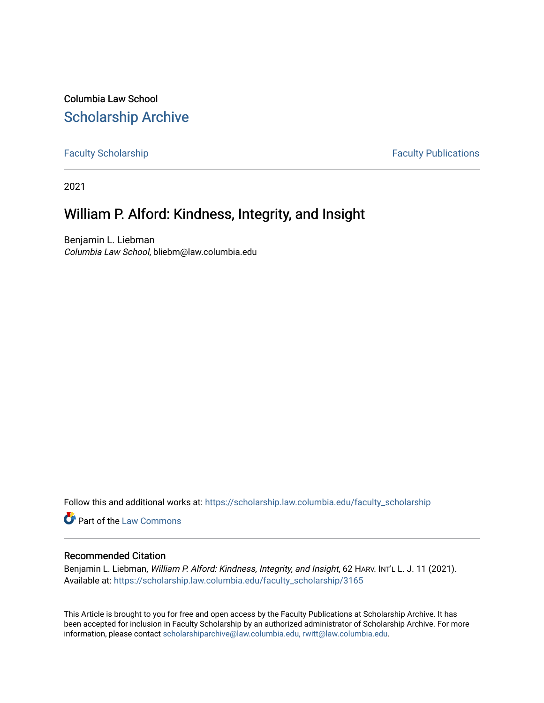Columbia Law School [Scholarship Archive](https://scholarship.law.columbia.edu/) 

[Faculty Scholarship](https://scholarship.law.columbia.edu/faculty_scholarship) **Faculty Scholarship Faculty Publications** 

2021

## William P. Alford: Kindness, Integrity, and Insight

Benjamin L. Liebman Columbia Law School, bliebm@law.columbia.edu

Follow this and additional works at: [https://scholarship.law.columbia.edu/faculty\\_scholarship](https://scholarship.law.columbia.edu/faculty_scholarship?utm_source=scholarship.law.columbia.edu%2Ffaculty_scholarship%2F3165&utm_medium=PDF&utm_campaign=PDFCoverPages)

Part of the [Law Commons](http://network.bepress.com/hgg/discipline/578?utm_source=scholarship.law.columbia.edu%2Ffaculty_scholarship%2F3165&utm_medium=PDF&utm_campaign=PDFCoverPages)

## Recommended Citation

Benjamin L. Liebman, William P. Alford: Kindness, Integrity, and Insight, 62 HARV. INT'L L. J. 11 (2021). Available at: [https://scholarship.law.columbia.edu/faculty\\_scholarship/3165](https://scholarship.law.columbia.edu/faculty_scholarship/3165?utm_source=scholarship.law.columbia.edu%2Ffaculty_scholarship%2F3165&utm_medium=PDF&utm_campaign=PDFCoverPages)

This Article is brought to you for free and open access by the Faculty Publications at Scholarship Archive. It has been accepted for inclusion in Faculty Scholarship by an authorized administrator of Scholarship Archive. For more information, please contact [scholarshiparchive@law.columbia.edu, rwitt@law.columbia.edu](mailto:scholarshiparchive@law.columbia.edu,%20rwitt@law.columbia.edu).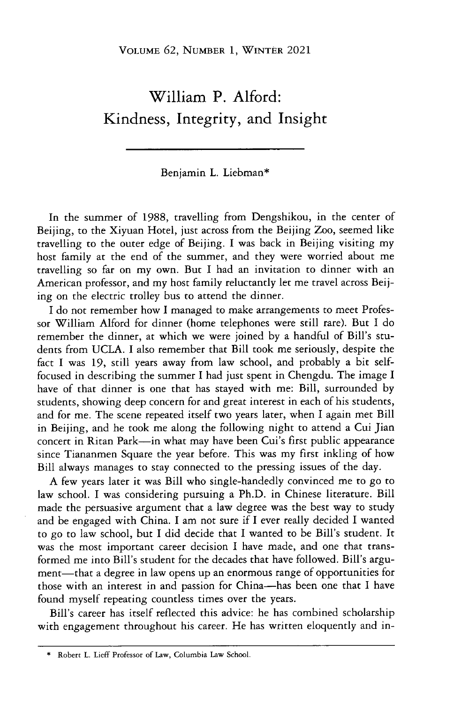## William P. Alford: Kindness, Integrity, and Insight

## Benjamin L. Liebman\*

In the summer of 1988, travelling from Dengshikou, in the center of Beijing, to the Xiyuan Hotel, just across from the Beijing Zoo, seemed like travelling to the outer edge of Beijing. I was back in Beijing visiting my host family at the end of the summer, and they were worried about me travelling so far on my own. But I had an invitation to dinner with an American professor, and my host family reluctantly let me travel across Beijing on the electric trolley bus to attend the dinner.

I do not remember how I managed to make arrangements to meet Professor William Alford for dinner (home telephones were still rare). But I do remember the dinner, at which we were joined by a handful of Bill's students from UCLA. I also remember that Bill took me seriously, despite the fact I was 19, still years away from law school, and probably a bit selffocused in describing the summer I had just spent in Chengdu. The image I have of that dinner is one that has stayed with me: Bill, surrounded by students, showing deep concern for and great interest in each of his students, and for me. The scene repeated itself two years later, when I again met Bill in Beijing, and he took me along the following night to attend a Cui Jian concert in Ritan Park—in what may have been Cui's first public appearance since Tiananmen Square the year before. This was my first inkling of how Bill always manages to stay connected to the pressing issues of the day.

A few years later **it** was Bill who single-handedly convinced me to go to law school. I was considering pursuing a Ph.D. in Chinese literature. Bill made the persuasive argument that a law degree was the best way to study and be engaged with China. I am not sure if I ever really decided I wanted to go to law school, but I did decide that I wanted to be Bill's student. It was the most important career decision I have made, and one that transformed me into Bill's student for the decades that have followed. Bill's argument—that a degree in law opens up an enormous range of opportunities for those with an interest in and passion for China-has been one that I have found myself repeating countless times over the years.

Bill's career has itself reflected this advice: he has combined scholarship with engagement throughout his career. He has written eloquently and in-

<sup>\*</sup> **Robert L. Lieff Professor of Law, Columbia Law School.**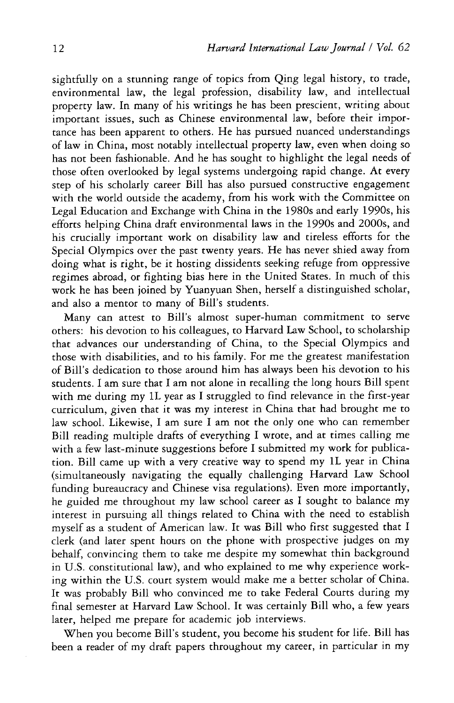sightfully on a stunning range of topics from Qing legal history, to trade, environmental law, the legal profession, disability law, and intellectual property law. In many of his writings he has been prescient, writing about important issues, such as Chinese environmental law, before their importance has been apparent to others. He has pursued nuanced understandings of law in China, most notably intellectual property law, even when doing so has not been fashionable. And he has sought to highlight the legal needs of those often overlooked by legal systems undergoing rapid change. At every step of his scholarly career Bill has also pursued constructive engagement with the world outside the academy, from his work with the Committee on Legal Education and Exchange with China in the 1980s and early 1990s, his efforts helping China draft environmental laws in the 1990s and 2000s, and his crucially important work on disability law and tireless efforts for the Special Olympics over the past twenty years. He has never shied away from doing what is right, be it hosting dissidents seeking refuge from oppressive regimes abroad, or fighting bias here in the United States. In much of this work he has been joined by Yuanyuan Shen, herself a distinguished scholar, and also a mentor to many of Bill's students.

Many can attest to Bill's almost super-human commitment to serve others: his devotion to his colleagues, to Harvard Law School, to scholarship that advances our understanding of China, to the Special Olympics and those with disabilities, and to his family. For me the greatest manifestation of Bill's dedication to those around him has always been his devotion to his students. I am sure that I am not alone in recalling the long hours Bill spent with me during my 1L year as I struggled to find relevance in the first-year curriculum, given that it was my interest in China that had brought me to law school. Likewise, I am sure I am not the only one who can remember Bill reading multiple drafts of everything I wrote, and at times calling me with a few last-minute suggestions before I submitted my work for publication. Bill came up with a very creative way to spend my 1L year in China (simultaneously navigating the equally challenging Harvard Law School funding bureaucracy and Chinese visa regulations). Even more importantly, he guided me throughout my law school career as I sought to balance my interest in pursuing all things related to China with the need to establish myself as a student of American law. It was Bill who first suggested that I clerk (and later spent hours on the phone with prospective judges on my behalf, convincing them to take me despite my somewhat thin background in U.S. constitutional law), and who explained to me why experience working within the U.S. court system would make me a better scholar of China. It was probably Bill who convinced me to take Federal Courts during my final semester at Harvard Law School. It was certainly Bill who, a few years later, helped me prepare for academic job interviews.

When you become Bill's student, you become his student for life. Bill has been a reader of my draft papers throughout my career, in particular in my